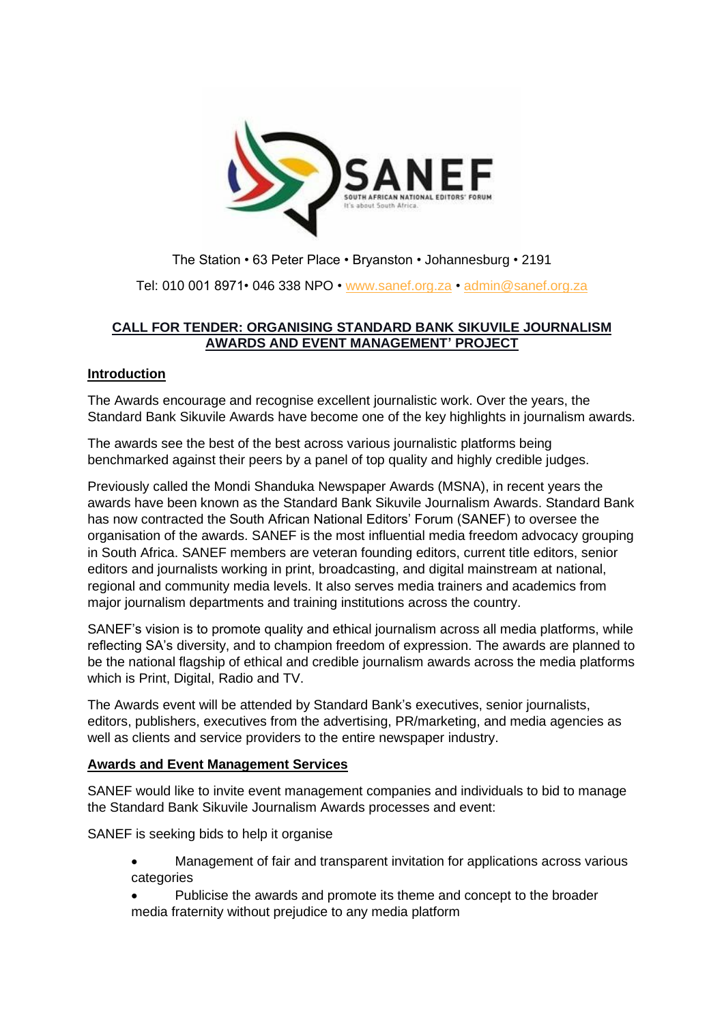

The Station • 63 Peter Place • Bryanston • Johannesburg • 2191 Tel: 010 001 8971• 046 338 NPO • [www.sanef.org.za](http://www.sanef.org.za/) • [admin@sanef.org.za](mailto:admin@sanef.org.za)

# **CALL FOR TENDER: ORGANISING STANDARD BANK SIKUVILE JOURNALISM AWARDS AND EVENT MANAGEMENT' PROJECT**

## **Introduction**

The Awards encourage and recognise excellent journalistic work. Over the years, the Standard Bank Sikuvile Awards have become one of the key highlights in journalism awards.

The awards see the best of the best across various journalistic platforms being benchmarked against their peers by a panel of top quality and highly credible judges.

Previously called the Mondi Shanduka Newspaper Awards (MSNA), in recent years the awards have been known as the Standard Bank Sikuvile Journalism Awards. Standard Bank has now contracted the South African National Editors' Forum (SANEF) to oversee the organisation of the awards. SANEF is the most influential media freedom advocacy grouping in South Africa. SANEF members are veteran founding editors, current title editors, senior editors and journalists working in print, broadcasting, and digital mainstream at national, regional and community media levels. It also serves media trainers and academics from major journalism departments and training institutions across the country.

SANEF's vision is to promote quality and ethical journalism across all media platforms, while reflecting SA's diversity, and to champion freedom of expression. The awards are planned to be the national flagship of ethical and credible journalism awards across the media platforms which is Print, Digital, Radio and TV.

The Awards event will be attended by Standard Bank's executives, senior journalists, editors, publishers, executives from the advertising, PR/marketing, and media agencies as well as clients and service providers to the entire newspaper industry.

#### **Awards and Event Management Services**

SANEF would like to invite event management companies and individuals to bid to manage the Standard Bank Sikuvile Journalism Awards processes and event:

SANEF is seeking bids to help it organise

- Management of fair and transparent invitation for applications across various categories
- Publicise the awards and promote its theme and concept to the broader media fraternity without prejudice to any media platform